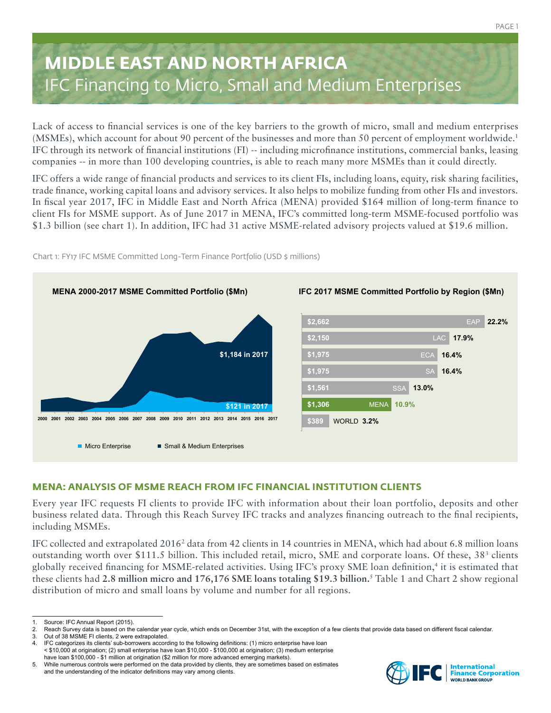# **MIDDLE EAST AND NORTH AFRICA** IFC Financing to Micro, Small and Medium Enterprises

Lack of access to financial services is one of the key barriers to the growth of micro, small and medium enterprises (MSMEs), which account for about 90 percent of the businesses and more than 50 percent of employment worldwide.1 IFC through its network of financial institutions (FI) -- including microfinance institutions, commercial banks, leasing companies -- in more than 100 developing countries, is able to reach many more MSMEs than it could directly.

IFC offers a wide range of financial products and services to its client FIs, including loans, equity, risk sharing facilities, trade finance, working capital loans and advisory services. It also helps to mobilize funding from other FIs and investors. In fiscal year 2017, IFC in Middle East and North Africa (MENA) provided \$164 million of long-term finance to client FIs for MSME support. As of June 2017 in MENA, IFC's committed long-term MSME-focused portfolio was \$1.3 billion (see chart 1). In addition, IFC had 31 active MSME-related advisory projects valued at \$19.6 million.



Chart 1: FY17 IFC MSME Committed Long-Term Finance Portfolio (USD \$ millions)

# **MENA: ANALYSIS OF MSME REACH FROM IFC FINANCIAL INSTITUTION CLIENTS**

Every year IFC requests FI clients to provide IFC with information about their loan portfolio, deposits and other business related data. Through this Reach Survey IFC tracks and analyzes financing outreach to the final recipients, including MSMEs.

IFC collected and extrapolated 2016<sup>2</sup> data from 42 clients in 14 countries in MENA, which had about 6.8 million loans outstanding worth over \$111.5 billion. This included retail, micro, SME and corporate loans. Of these, 38<sup>3</sup> clients globally received financing for MSME-related activities. Using IFC's proxy SME loan definition,4 it is estimated that these clients had **2.8 million micro and 176,176 SME loans totaling \$19.3 billion.**<sup>5</sup> Table 1 and Chart 2 show regional distribution of micro and small loans by volume and number for all regions.



Source: IFC Annual Report (2015).

<sup>2.</sup> Reach Survey data is based on the calendar year cycle, which ends on December 31st, with the exception of a few clients that provide data based on different fiscal calendar.<br>3. Out of 38 MSME FI clients, 2 were extrapol

Out of 38 MSME FI clients, 2 were extrapolated.

IFC categorizes its clients' sub-borrowers according to the following definitions: (1) micro enterprise have loan < \$10,000 at origination; (2) small enterprise have loan \$10,000 - \$100,000 at origination; (3) medium enterprise have loan \$100,000 - \$1 million at origination (\$2 million for more advanced emerging markets).

<sup>5.</sup> While numerous controls were performed on the data provided by clients, they are sometimes based on estimates and the understanding of the indicator definitions may vary among clients.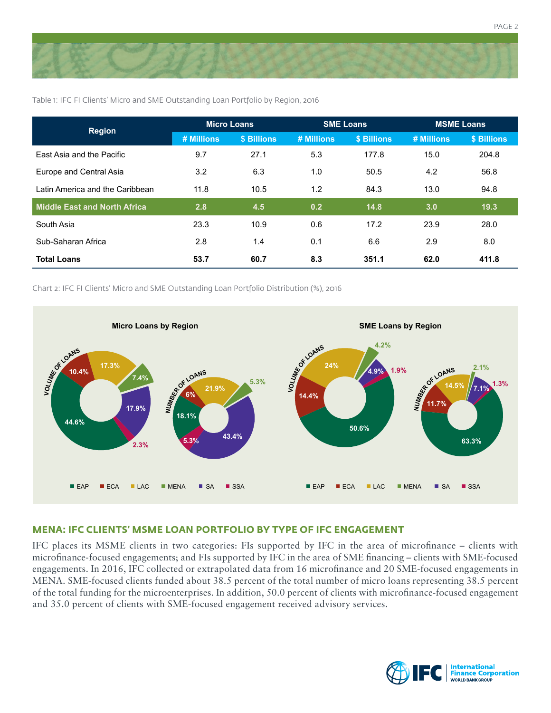

Table 1: IFC FI Clients' Micro and SME Outstanding Loan Portfolio by Region, 2016

| <b>Region</b>                       | <b>Micro Loans</b> |             | <b>SME Loans</b> |             | <b>MSME Loans</b> |             |
|-------------------------------------|--------------------|-------------|------------------|-------------|-------------------|-------------|
|                                     | # Millions         | \$ Billions | # Millions       | \$ Billions | # Millions        | \$ Billions |
| East Asia and the Pacific           | 9.7                | 27.1        | 5.3              | 177.8       | 15.0              | 204.8       |
| Europe and Central Asia             | 3.2                | 6.3         | 1.0              | 50.5        | 4.2               | 56.8        |
| Latin America and the Caribbean     | 11.8               | 10.5        | 1.2              | 84.3        | 13.0              | 94.8        |
| <b>Middle East and North Africa</b> | 2.8                | 4.5         | 0.2              | 14.8        | 3.0               | 19.3        |
| South Asia                          | 23.3               | 10.9        | 0.6              | 17.2        | 23.9              | 28.0        |
| Sub-Saharan Africa                  | 2.8                | 1.4         | 0.1              | 6.6         | 2.9               | 8.0         |
| <b>Total Loans</b>                  | 53.7               | 60.7        | 8.3              | 351.1       | 62.0              | 411.8       |

Chart 2: IFC FI Clients' Micro and SME Outstanding Loan Portfolio Distribution (%), 2016



## **MENA: IFC CLIENTS' MSME LOAN PORTFOLIO BY TYPE OF IFC ENGAGEMENT**

IFC places its MSME clients in two categories: FIs supported by IFC in the area of microfinance – clients with microfinance-focused engagements; and FIs supported by IFC in the area of SME financing – clients with SME-focused engagements. In 2016, IFC collected or extrapolated data from 16 microfinance and 20 SME-focused engagements in MENA. SME-focused clients funded about 38.5 percent of the total number of micro loans representing 38.5 percent of the total funding for the microenterprises. In addition, 50.0 percent of clients with microfinance-focused engagement and 35.0 percent of clients with SME-focused engagement received advisory services.



PAGE 2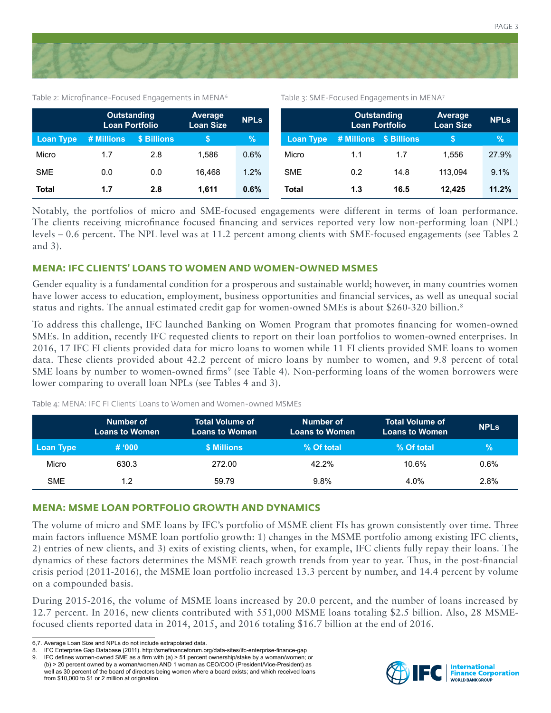

Table 2: Microfinance-Focused Engagements in MENA<sup>6</sup>

Table 3: SME-Focused Engagements in MENA7

|                  | <b>Outstanding</b><br><b>Loan Portfolio</b> |             | <b>Average</b><br><b>Loan Size</b> | <b>NPLs</b> |                  | <b>Outstanding</b><br><b>Loan Portfolio</b> |      | <b>Average</b><br><b>Loan Size</b> | <b>NPLs</b> |
|------------------|---------------------------------------------|-------------|------------------------------------|-------------|------------------|---------------------------------------------|------|------------------------------------|-------------|
| <b>Loan Type</b> | # Millions                                  | \$ Billions |                                    | $\%$        | <b>Loan Type</b> | # Millions \$ Billions                      |      |                                    | %           |
| Micro            | 1.7                                         | 2.8         | 1.586                              | 0.6%        | Micro            | 1.1                                         | 1.7  | 1.556                              | 27.9%       |
| <b>SME</b>       | 0.0                                         | 0.0         | 16.468                             | 1.2%        | <b>SME</b>       | 0.2                                         | 14.8 | 113.094                            | 9.1%        |
| <b>Total</b>     | 1.7                                         | 2.8         | 1.611                              | 0.6%        | <b>Total</b>     | 1.3                                         | 16.5 | 12.425                             | 11.2%       |

Notably, the portfolios of micro and SME-focused engagements were different in terms of loan performance. The clients receiving microfinance focused financing and services reported very low non-performing loan (NPL) levels – 0.6 percent. The NPL level was at 11.2 percent among clients with SME-focused engagements (see Tables 2 and 3).

### **MENA: IFC CLIENTS' LOANS TO WOMEN AND WOMEN-OWNED MSMES**

Gender equality is a fundamental condition for a prosperous and sustainable world; however, in many countries women have lower access to education, employment, business opportunities and financial services, as well as unequal social status and rights. The annual estimated credit gap for women-owned SMEs is about \$260-320 billion.<sup>8</sup>

To address this challenge, IFC launched Banking on Women Program that promotes financing for women-owned SMEs. In addition, recently IFC requested clients to report on their loan portfolios to women-owned enterprises. In 2016, 17 IFC FI clients provided data for micro loans to women while 11 FI clients provided SME loans to women data. These clients provided about 42.2 percent of micro loans by number to women, and 9.8 percent of total SME loans by number to women-owned firms<sup>9</sup> (see Table 4). Non-performing loans of the women borrowers were lower comparing to overall loan NPLs (see Tables 4 and 3).

|            | Number of<br><b>Loans to Women</b> | <b>Total Volume of</b><br><b>Loans to Women</b> | Number of<br><b>Loans to Women</b> | <b>Total Volume of</b><br><b>Loans to Women</b> | <b>NPLS</b> |
|------------|------------------------------------|-------------------------------------------------|------------------------------------|-------------------------------------------------|-------------|
| Loan Type  | # 000                              | \$ Millions                                     | % Of total                         | % Of total                                      | $\sqrt{2}$  |
| Micro      | 630.3                              | 272.00                                          | 42.2%                              | 10.6%                                           | 0.6%        |
| <b>SME</b> | 1.2                                | 59.79                                           | 9.8%                               | 4.0%                                            | 2.8%        |

Table 4: MENA: IFC FI Clients' Loans to Women and Women-owned MSMEs

#### **MENA: MSME LOAN PORTFOLIO GROWTH AND DYNAMICS**

The volume of micro and SME loans by IFC's portfolio of MSME client FIs has grown consistently over time. Three main factors influence MSME loan portfolio growth: 1) changes in the MSME portfolio among existing IFC clients, 2) entries of new clients, and 3) exits of existing clients, when, for example, IFC clients fully repay their loans. The dynamics of these factors determines the MSME reach growth trends from year to year. Thus, in the post-financial crisis period (2011-2016), the MSME loan portfolio increased 13.3 percent by number, and 14.4 percent by volume on a compounded basis.

During 2015-2016, the volume of MSME loans increased by 20.0 percent, and the number of loans increased by 12.7 percent. In 2016, new clients contributed with 551,000 MSME loans totaling \$2.5 billion. Also, 28 MSMEfocused clients reported data in 2014, 2015, and 2016 totaling \$16.7 billion at the end of 2016.



<sup>6,7.</sup> Average Loan Size and NPLs do not include extrapolated data.

<sup>8.</sup> IFC Enterprise Gap Database (2011). http://smefinanceforum.org/data-sites/ifc-enterprise-finance-gap

<sup>9.</sup> IFC defines women-owned SME as a firm with (a) > 51 percent ownership/stake by a woman/women; or (b) > 20 percent owned by a woman/women AND 1 woman as CEO/COO (President/Vice-President) as well as 30 percent of the board of directors being women where a board exists; and which received loans from \$10,000 to \$1 or 2 million at origination.